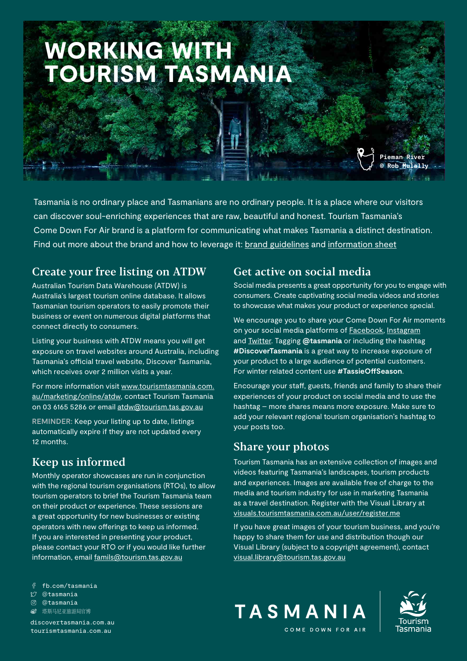# WORKING WITH TOURISM TASMANIA

Tasmania is no ordinary place and Tasmanians are no ordinary people. It is a place where our visitors can discover soul-enriching experiences that are raw, beautiful and honest. Tourism Tasmania's Come Down For Air brand is a platform for communicating what makes Tasmania a distinct destination. Find out more about the brand and how to leverage it: [brand guidelines](https://www.tourismtasmania.com.au/__data/assets/pdf_file/0009/102105/BRAND-GUIDELINES-INDUSTRY-2021.pdf) and [information sheet](https://www.tourismtasmania.com.au/__data/assets/pdf_file/0004/95575/Brand-Information-Sheet.pdf)

#### Create your free listing on ATDW

Australian Tourism Data Warehouse (ATDW) is Australia's largest tourism online database. It allows Tasmanian tourism operators to easily promote their business or event on numerous digital platforms that connect directly to consumers.

Listing your business with ATDW means you will get exposure on travel websites around Australia, including Tasmania's official travel website, Discover Tasmania, which receives over 2 million visits a year.

For more information visit [www.tourismtasmania.com.](http://www.tourismtasmania.com.au/marketing/online/atdw) [au/marketing/online/atdw,](http://www.tourismtasmania.com.au/marketing/online/atdw) contact Tourism Tasmania on 03 6165 5286 or email [atdw@tourism.tas.gov.au](mailto:atdw@tourism.tas.gov.au)

**REMINDER:** Keep your listing up to date, listings automatically expire if they are not updated every 12 months.

## Keep us informed

Monthly operator showcases are run in conjunction with the regional tourism organisations (RTOs), to allow tourism operators to brief the Tourism Tasmania team on their product or experience. These sessions are a great opportunity for new businesses or existing operators with new offerings to keep us informed. If you are interested in presenting your product, please contact your RTO or if you would like further information, email [famils@tourism.tas.gov.au](mailto:famils@tourism.tas.gov.au)

fb.com/tasmania

- @tasmania
- @tasmania
- **<sup>6</sup>** 塔斯马尼亚旅游局官博

[discovertasmania.com.au](https://www.discovertasmania.com.au) [tourismtasmania.com.au](http://tourismtasmania.com.au)

#### Get active on social media

Social media presents a great opportunity for you to engage with consumers. Create captivating social media videos and stories to showcase what makes your product or experience special.

**Pieman River © Rob Mulally**

We encourage you to share your Come Down For Air moments on your social media platforms of **Facebook**, [Instagram](https://www.instagram.com/tasmania/?hl=en) and [Twitter.](https://twitter.com/Tasmania/) Tagging **@tasmania** or including the hashtag **#DiscoverTasmania** is a great way to increase exposure of your product to a large audience of potential customers. For winter related content use **#TassieOffSeason**.

Encourage your staff, guests, friends and family to share their experiences of your product on social media and to use the hashtag – more shares means more exposure. Make sure to add your relevant regional tourism organisation's hashtag to your posts too.

## Share your photos

Tourism Tasmania has an extensive collection of images and videos featuring Tasmania's landscapes, tourism products and experiences. Images are available free of charge to the media and tourism industry for use in marketing Tasmania as a travel destination. Register with the Visual Library at [visuals.tourismtasmania.com.au/user/register.me](http://www.visuals.tourismtasmania.com.au/user/register.me)

If you have great images of your tourism business, and you're happy to share them for use and distribution though our Visual Library (subject to a copyright agreement), contact [visual.library@tourism.tas.gov.au](mailto:visual.library@tourism.tas.gov.au)





COME DOWN FOR AIR